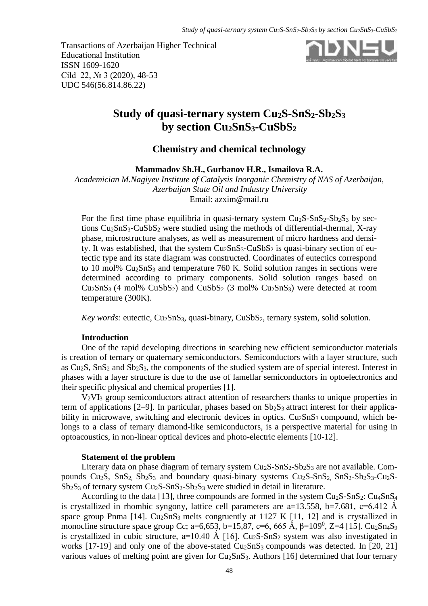Transactions of Azerbaijan Higher Technical Educational İnstitution ISSN 1609-1620 Cild 22, № 3 (2020), 48-53 UDC 546(56.814.86.22)



# **Study of quasi-ternary system Cu2S-SnS2-Sb2S<sup>3</sup> by section Cu2SnS3-CuSbS<sup>2</sup>**

# **Chemistry and chemical technology**

**Mammadov Sh.H., Gurbanov H.R., Ismailova R.A.**

*Academician M.Nagiyev Institute of Catalysis Inorganic Chemistry of NAS of Azerbaijan, Azerbaijan State Oil and Industry University* Email: [azxim@mail.ru](mailto:azxim@mail.ru)

For the first time phase equilibria in quasi-ternary system  $Cu<sub>2</sub>S-SnS<sub>2</sub>-Sb<sub>2</sub>S<sub>3</sub>$  by sections  $Cu<sub>2</sub>SnS<sub>3</sub>-CuSbS<sub>2</sub>$  were studied using the methods of differential-thermal, X-ray phase, microstructure analyses, as well as measurement of micro hardness and density. It was established, that the system  $Cu<sub>2</sub>SnS<sub>3</sub>-CuSbS<sub>2</sub>$  is quasi-binary section of eutectic type and its state diagram was constructed. Coordinates of eutectics correspond to 10 mol% Cu2SnS<sup>3</sup> and temperature 760 K. Solid solution ranges in sections were determined according to primary components. Solid solution ranges based on  $Cu<sub>2</sub>SnS<sub>3</sub>$  (4 mol%  $CuSbS<sub>2</sub>$ ) and  $CuSbS<sub>2</sub>$  (3 mol%  $Cu<sub>2</sub>SnS<sub>3</sub>$ ) were detected at room temperature (300K).

*Key words:* eutectic, Cu<sub>2</sub>SnS<sub>3</sub>, quasi-binary, CuSbS<sub>2</sub>, ternary system, solid solution.

#### **Introduction**

One of the rapid developing directions in searching new efficient semiconductor materials is creation of ternary or quaternary semiconductors. Semiconductors with a layer structure, such as  $Cu<sub>2</sub>S$ ,  $SnS<sub>2</sub>$  and  $Sb<sub>2</sub>S<sub>3</sub>$ , the components of the studied system are of special interest. Interest in phases with a layer structure is due to the use of lamellar semiconductors in optoelectronics and their specific physical and chemical properties [1].

V2VI<sup>3</sup> group semiconductors attract attention of researchers thanks to unique properties in term of applications  $[2-9]$ . In particular, phases based on  $Sb_2S_3$  attract interest for their applicability in microwave, switching and electronic devices in optics.  $Cu<sub>2</sub>SnS<sub>3</sub>$  compound, which belongs to a class of ternary diamond-like semiconductors, is a perspective material for using in optoacoustics, in non-linear optical devices and photo-electric elements [10-12].

#### **Statement of the problem**

Literary data on phase diagram of ternary system  $Cu<sub>2</sub>S-SnS<sub>2</sub>-Sb<sub>2</sub>S<sub>3</sub>$  are not available. Compounds  $Cu_2S$ ,  $SnS_2$ ,  $Sb_2S_3$  and boundary quasi-binary systems  $Cu_2S-SnS_2$ ,  $SnS_2-Sb_2S_3-Cu_2S Sb_2S_3$  of ternary system  $Cu_2S-SnS_2-Sb_2S_3$  were studied in detail in literature.

According to the data [13], three compounds are formed in the system  $Cu<sub>2</sub>S-SnS<sub>2</sub>$ :  $Cu<sub>4</sub>SnS<sub>4</sub>$ is crystallized in rhombic syngony, lattice cell parameters are  $a=13.558$ ,  $b=7.681$ ,  $c=6.412$  Å space group Pnma [14].  $Cu<sub>2</sub>SnS<sub>3</sub>$  melts congruently at 1127 K [11, 12] and is crystallized in monocline structure space group Cc; a=6,653, b=15,87, c=6, 665 Å,  $\beta$ =109<sup>0</sup>, Z=4 [15]. Cu<sub>2</sub>Sn<sub>4</sub>S<sub>9</sub> is crystallized in cubic structure,  $a=10.40 \text{ Å}$  [16]. Cu<sub>2</sub>S-SnS<sub>2</sub> system was also investigated in works [17-19] and only one of the above-stated Cu<sub>2</sub>SnS<sub>3</sub> compounds was detected. In [20, 21] various values of melting point are given for  $Cu<sub>2</sub>SnS<sub>3</sub>$ . Authors [16] determined that four ternary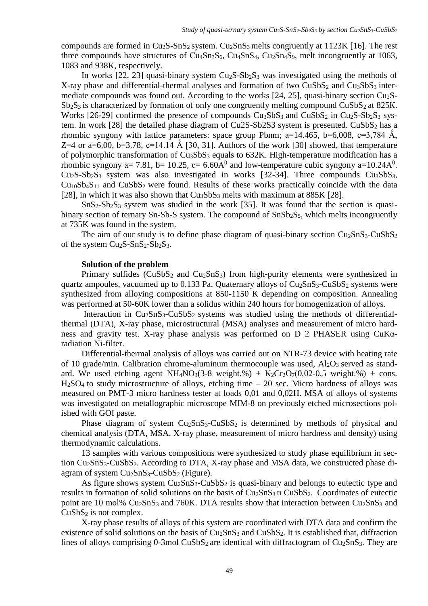compounds are formed in  $Cu<sub>2</sub>S-SnS<sub>2</sub>$  system.  $Cu<sub>2</sub>SnS<sub>3</sub>$  melts congruently at 1123K [16]. The rest three compounds have structures of  $Cu<sub>4</sub>Sn<sub>3</sub>S<sub>6</sub>$ ,  $Cu<sub>4</sub>Sn<sub>4</sub>S<sub>4</sub>$ ,  $Cu<sub>2</sub>Sn<sub>4</sub>S<sub>9</sub>$ , melt incongruently at 1063, 1083 and 938K, respectively.

In works [22, 23] quasi-binary system  $Cu<sub>2</sub>S-Sb<sub>2</sub>S<sub>3</sub>$  was investigated using the methods of X-ray phase and differential-thermal analyses and formation of two  $CuSbS<sub>2</sub>$  and  $Cu<sub>3</sub>SbS<sub>3</sub>$  intermediate compounds was found out. According to the works [24, 25], quasi-binary section Cu2S- $Sb_2S_3$  is characterized by formation of only one congruently melting compound CuSbS<sub>2</sub> at 825K. Works  $[26-29]$  confirmed the presence of compounds  $Cu35S_3$  and  $Cu5S_2$  in  $Cu2S-Sb2S_3$  system. In work [28] the detailed phase diagram of  $Cu2S-Sb2S3$  system is presented.  $CuSbS<sub>2</sub>$  has a rhombic syngony with lattice parameters: space group Pbnm;  $a=14.465$ ,  $b=6,008$ ,  $c=3,784$  Å, Z=4 or a=6.00, b=3.78, c=14.14 Å [30, 31]. Authors of the work [30] showed, that temperature of polymorphic transformation of  $Cu<sub>3</sub>SbS<sub>3</sub>$  equals to 632K. High-temperature modification has a rhombic syngony a= 7.81, b= 10.25, c= 6.60 $A^0$  and low-temperature cubic syngony a=10.24 $A^0$ .  $Cu<sub>2</sub>S-Sb<sub>2</sub>S<sub>3</sub>$  system was also investigated in works [32-34]. Three compounds  $Cu<sub>3</sub>SbS<sub>3</sub>$ ,  $Cu<sub>10</sub>sb<sub>4</sub>S<sub>11</sub>$  and  $CuSbS<sub>2</sub>$  were found. Results of these works practically coincide with the data [28], in which it was also shown that  $Cu<sub>3</sub>SbS<sub>3</sub>$  melts with maximum at 885K [28].

 $SnS<sub>2</sub>-Sb<sub>2</sub>S<sub>3</sub>$  system was studied in the work [35]. It was found that the section is quasibinary section of ternary Sn-Sb-S system. The compound of SnSb<sub>2</sub>S<sub>5</sub>, which melts incongruently at 735K was found in the system.

The aim of our study is to define phase diagram of quasi-binary section  $Cu_2SnS_3-CuSbS_2$ of the system  $Cu<sub>2</sub>S-SnS<sub>2</sub>-Sb<sub>2</sub>S<sub>3</sub>$ .

#### **Solution of the problem**

Primary sulfides  $(CuSbS<sub>2</sub>$  and  $Cu<sub>2</sub>SnS<sub>3</sub>)$  from high-purity elements were synthesized in quartz ampoules, vacuumed up to 0.133 Pa. Quaternary alloys of  $Cu<sub>2</sub>SnS<sub>3</sub>-CuSbS<sub>2</sub>$  systems were synthesized from alloying compositions at 850-1150 K depending on composition. Annealing was performed at 50-60K lower than a solidus within 240 hours for homogenization of alloys.

Interaction in  $Cu<sub>2</sub>SnS<sub>3</sub>-CuSbS<sub>2</sub>$  systems was studied using the methods of differentialthermal (DTA), X-ray phase, microstructural (MSA) analyses and measurement of micro hardness and gravity test. X-ray phase analysis was performed on D 2 PHASER using CuKαradiation Ni-filter.

Differential-thermal analysis of alloys was carried out on NTR-73 device with heating rate of 10 grade/min. Calibration chrome-aluminum thermocouple was used,  $Al_2O_3$  served as standard. We used etching agent NH<sub>4</sub>NO<sub>3</sub>(3-8 weight.%) + K<sub>2</sub>Cr<sub>2</sub>O<sub>7</sub>(0,02-0,5 weight.%) + cons.  $H<sub>2</sub>SO<sub>4</sub>$  to study microstructure of alloys, etching time – 20 sec. Micro hardness of alloys was measured on PMT-3 micro hardness tester at loads 0,01 and 0,02Н. MSA of alloys of systems was investigated on metallographic microscope MIM-8 on previously etched microsections polished with GOI paste.

Phase diagram of system  $Cu<sub>2</sub>SnS<sub>3</sub>-CuSbS<sub>2</sub>$  is determined by methods of physical and chemical analysis (DTA, MSA, X-ray phase, measurement of micro hardness and density) using thermodynamic calculations.

13 samples with various compositions were synthesized to study phase equilibrium in section Cu<sub>2</sub>SnS<sub>3</sub>-CuSbS<sub>2</sub>. According to DTA, X-ray phase and MSA data, we constructed phase diagram of system  $Cu<sub>2</sub>SnS<sub>3</sub>-CuSbS<sub>2</sub>$  (Figure).

As figure shows system  $Cu<sub>2</sub>SnS<sub>3</sub>-CuSbS<sub>2</sub>$  is quasi-binary and belongs to eutectic type and results in formation of solid solutions on the basis of Cu2SnS3 и CuSbS2. Coordinates of eutectic point are 10 mol%  $Cu<sub>2</sub>SnS<sub>3</sub>$  and 760K. DTA results show that interaction between  $Cu<sub>2</sub>SnS<sub>3</sub>$  and  $CuSbS<sub>2</sub>$  is not complex.

X-ray phase results of alloys of this system are coordinated with DTA data and confirm the existence of solid solutions on the basis of  $Cu<sub>2</sub>SnS<sub>3</sub>$  and  $CuSbS<sub>2</sub>$ . It is established that, diffraction lines of alloys comprising 0-3mol  $CuSbS<sub>2</sub>$  are identical with diffractogram of  $Cu<sub>2</sub>SnS<sub>3</sub>$ . They are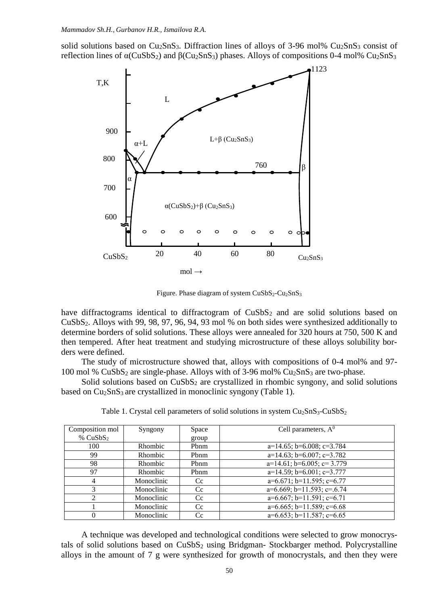solid solutions based on  $Cu_2SnS_3$ . Diffraction lines of alloys of 3-96 mol%  $Cu_2SnS_3$  consist of reflection lines of  $α(CuSbS<sub>2</sub>)$  and  $β(Cu<sub>2</sub>SnS<sub>3</sub>)$  phases. Alloys of compositions 0-4 mol%  $Cu<sub>2</sub>SnS<sub>3</sub>$ 



Figure. Phase diagram of system  $CuSbS_2-Cu_2SnS_3$ 

have diffractograms identical to diffractogram of  $CuSbS<sub>2</sub>$  and are solid solutions based on CuSbS2. Alloys with 99, 98, 97, 96, 94, 93 mol % on both sides were synthesized additionally to determine borders of solid solutions. These alloys were annealed for 320 hours at 750, 500 K and then tempered. After heat treatment and studying microstructure of these alloys solubility borders were defined.

The study of microstructure showed that, alloys with compositions of 0-4 mol% and 97- 100 mol % CuSbS<sup>2</sup> are single-phase. Alloys with of 3-96 mol% Cu2SnS<sup>3</sup> are two-phase.

Solid solutions based on  $CuSbS<sub>2</sub>$  are crystallized in rhombic syngony, and solid solutions based on Cu<sub>2</sub>SnS<sub>3</sub> are crystallized in monoclinic syngony (Table 1).

| Composition mol | Syngony        | Space | Cell parameters, $A^0$             |
|-----------------|----------------|-------|------------------------------------|
|                 |                |       |                                    |
| % $CuSbS2$      |                | group |                                    |
| 100             | Rhombic        | Pbnm  | $a=14.65$ ; b=6.008; c=3.784       |
| 99              | <b>Rhombic</b> | Phnm  | $a=14.63$ ; b=6.007; c=3.782       |
| 98              | Rhombic        | Pbnm  | $a=14.61$ ; $b=6.005$ ; $c=3.779$  |
| 97              | <b>Rhombic</b> | Pbnm  | $a=14.59$ ; b=6.001; c=3.777       |
| 4               | Monoclinic     | Cc    | $a=6.671$ ; $b=11.595$ ; $c=6.77$  |
| 3               | Monoclinic     | Cc.   | $a=6.669$ ; $b=11.593$ ; $c=.6.74$ |
| $\mathfrak{D}$  | Monoclinic     | Cc    | $a=6.667$ ; $b=11.591$ ; $c=6.71$  |
|                 | Monoclinic     | Cc    | $a=6.665$ ; $b=11.589$ ; $c=6.68$  |
| 0               | Monoclinic     | Cc    | $a=6.653$ ; $b=11.587$ ; $c=6.65$  |

Table 1. Crystal cell parameters of solid solutions in system  $Cu<sub>2</sub>SnS<sub>3</sub>-CuSbS<sub>2</sub>$ 

A technique was developed and technological conditions were selected to grow monocrystals of solid solutions based on CuSbS<sub>2</sub> using Bridgman- Stockbarger method. Polycrystalline alloys in the amount of 7 g were synthesized for growth of monocrystals, and then they were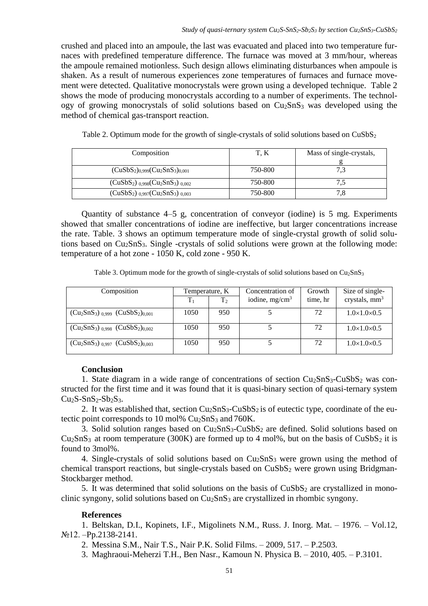crushed and placed into an ampoule, the last was evacuated and placed into two temperature furnaces with predefined temperature difference. The furnace was moved at 3 mm/hour, whereas the ampoule remained motionless. Such design allows eliminating disturbances when ampoule is shaken. As a result of numerous experiences zone temperatures of furnaces and furnace movement were detected. Qualitative monocrystals were grown using a developed technique. Table 2 shows the mode of producing monocrystals according to a number of experiments. The technology of growing monocrystals of solid solutions based on  $Cu<sub>2</sub>SnS<sub>3</sub>$  was developed using the method of chemical gas-transport reaction.

| Table 2. Optimum mode for the growth of single-crystals of solid solutions based on $CuSbS2$ |  |  |  |  |
|----------------------------------------------------------------------------------------------|--|--|--|--|
|----------------------------------------------------------------------------------------------|--|--|--|--|

| Composition                                              | T. K    | Mass of single-crystals, |
|----------------------------------------------------------|---------|--------------------------|
|                                                          |         |                          |
| $(CuSbS2)0.999(Cu2SnS3)0.001$                            | 750-800 | 7,3                      |
| $(CuSbS2)$ <sub>0.998</sub> $(Cu2SnS3)$ <sub>0.002</sub> | 750-800 |                          |
| $(CuSbS2)$ <sub>0.997</sub> $(Cu2SnS3)$ <sub>0.003</sub> | 750-800 | 7.8                      |

Quantity of substance 4–5 g, concentration of conveyor (iodine) is 5 mg. Experiments showed that smaller concentrations of iodine are ineffective, but larger concentrations increase the rate. Table. 3 shows an optimum temperature mode of single-crystal growth of solid solutions based on Cu<sub>2</sub>SnS<sub>3</sub>. Single -crystals of solid solutions were grown at the following mode: temperature of a hot zone - 1050 K, cold zone - 950 K.

Table 3. Optimum mode for the growth of single-crystals of solid solutions based on  $Cu<sub>2</sub>SnS<sub>3</sub>$ 

| Composition                               | Temperature, K |                | Concentration of  | Growth   | Size of single-         |
|-------------------------------------------|----------------|----------------|-------------------|----------|-------------------------|
|                                           | $T_1$          | T <sub>2</sub> | iodine, $mg/cm^3$ | time, hr | crystals, $mm3$         |
| $(Cu_2SnS_3)_{0.999}$ $(CuSbS_2)_{0.001}$ | 1050           | 950            |                   | 72       | $1.0\times1.0\times0.5$ |
| $(Cu_2SnS_3)_{0,998} (CuSbS_2)_{0,002}$   | 1050           | 950            |                   | 72       | $1.0\times1.0\times0.5$ |
| $(Cu_2SnS_3)_{0.997}$ $(CuSbS_2)_{0.003}$ | 1050           | 950            |                   | 72       | $1.0\times1.0\times0.5$ |

## **Conclusion**

1. State diagram in a wide range of concentrations of section  $Cu<sub>2</sub>SnS<sub>3</sub>-CuSbS<sub>2</sub>$  was constructed for the first time and it was found that it is quasi-binary section of quasi-ternary system  $Cu<sub>2</sub>S-SnS<sub>2</sub>-Sb<sub>2</sub>S<sub>3</sub>$ .

2. It was established that, section  $Cu<sub>2</sub>SnS<sub>3</sub>-CuSbS<sub>2</sub>$  is of eutectic type, coordinate of the eutectic point corresponds to 10 mol%  $Cu<sub>2</sub>SnS<sub>3</sub>$  and 760K.

3. Solid solution ranges based on Cu2SnS3-CuSbS<sup>2</sup> are defined. Solid solutions based on  $Cu<sub>2</sub>SnS<sub>3</sub>$  at room temperature (300K) are formed up to 4 mol%, but on the basis of CuSbS<sub>2</sub> it is found to 3mol%.

4. Single-crystals of solid solutions based on  $Cu<sub>2</sub>SnS<sub>3</sub>$  were grown using the method of chemical transport reactions, but single-crystals based on  $CuSbS<sub>2</sub>$  were grown using Bridgman-Stockbarger method.

5. It was determined that solid solutions on the basis of CuSbS<sub>2</sub> are crystallized in monoclinic syngony, solid solutions based on  $Cu<sub>2</sub>SnS<sub>3</sub>$  are crystallized in rhombic syngony.

# **References**

1. Beltskan, D.I., Kopinets, I.F., Migolinets N.M., Russ. J. Inorg. Mat. – 1976. – Vol.12, №12. –Pp.2138-2141.

2. Messina S.M., Nair T.S., Nair P.K. Solid Films. – 2009, 517. – P.2503.

3. Maghraoui-Meherzi T.H., Ben Nasr., Kamoun N. Physica B. – 2010, 405. – P.3101.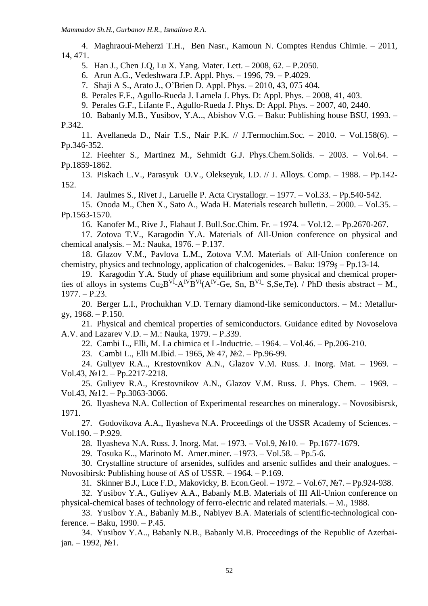4. Maghraoui-Meherzi T.H., Ben Nasr., Kamoun N. Comptes Rendus Chimie. – 2011, 14, 471.

5. Han J., Chen J.Q, Lu X. Yang. Mater. Lett. – 2008, 62. – P.2050.

6. Arun A.G., Vedeshwara J.P. Appl. Phys. – 1996, 79. – P.4029.

7. Shaji A S., Arato J., O'Brien D. Appl. Phys. – 2010, 43, 075 404.

8. Perales F.F., Agullo-Rueda J. Lamela J. Phys. D: Appl. Phys. – 2008, 41, 403.

9. Perales G.F., Lifante F., Agullo-Rueda J. Phys. D: Appl. Phys. – 2007, 40, 2440.

10. Babanly M.B., Yusibov, Y.A.., Abishov V.G. – Baku: Publishing house BSU, 1993. – P.342.

11. Avellaneda D., Nair T.S., Nair P.K. // J.Termochim.Soc. – 2010. – Vol.158(6). – Pp.346-352.

12. Fieehter S., Martinez M., Sehmidt G.J. Phys.Chem.Solids. – 2003. – Vol.64. – Pp.1859-1862.

13. Piskach L.V., Parasyuk O.V., Olekseyuk, I.D. // J. Alloys. Comp. – 1988. – Pp.142- 152.

14. Jaulmes S., Rivet J., Laruelle P. Acta Crystallogr. – 1977. – Vol.33. – Pp.540-542.

15. Onoda M., Chen X., Sato A., Wada H. Materials research bulletin. – 2000. – Vol.35. – Pp.1563-1570.

16. Kanofer M., Rive J., Flahaut J. Bull.Soc.Chim. Fr. ‒ 1974. ‒ Vol.12. ‒ Pp.2670-267.

17. Zotova T.V., Karagodin Y.A. Materials of All-Union conference on physical and chemical analysis.  $-$  M.: Nauka, 1976.  $-$  P.137.

18. Glazov V.M., Pavlova L.M., Zotova V.M. Materials of All-Union conference on chemistry, physics and technology, application of chalcogenides. ‒ Baku: 1979ş ‒ Pp.13-14.

19. Karagodin Y.A. Study of phase equilibrium and some physical and chemical properties of alloys in systems  $Cu<sub>2</sub>B<sup>VI</sup>-A<sup>IV</sup>B<sup>VI</sup>(A<sup>IV</sup>-Ge, Sn, B<sup>VI</sup>- S, Se, Te)$ . / PhD thesis abstract – M.,  $1977. - P.23.$ 

20. Berger L.I., Prochukhan V.D. Ternary diamond-like semiconductors. ‒ M.: Metallurgy,  $1968. - P.150$ .

21. Physical and chemical properties of semiconductors. Guidance edited by Novoselova A.V. and Lazarev V.D. ‒ M.: Nauka, 1979. ‒ P.339.

22. Cambi L., Elli, M. La chimica et L-Inductrie. ‒ 1964. ‒ Vol.46. ‒ Pp.206-210.

23. Cambi L., Elli M.Ibid. ‒ 1965, № 47, №2. ‒ Pp.96-99.

24. Guliyev R.A.., Krestovnikov A.N., Glazov V.M. Russ. J. Inorg. Mat. – 1969. –  $Vol.43, N<sub>2</sub>12. – Pp.2217-2218.$ 

25. Guliyev R.A., Krestovnikov A.N., Glazov V.M. Russ. J. Phys. Chem. - 1969. -Vol.43,  $N$ <u>o</u>12. – Pp.3063-3066.

26. Ilyasheva N.A. Collection of Experimental researches on mineralogy. – Novosibisrsk, 1971.

27. Godovikova A.A., Ilyasheva N.A. Proceedings of the [USSR Academy of Sciences](https://en.wikipedia.org/wiki/USSR_Academy_of_Sciences). – Vol.190. ‒ P.929.

28. Ilyasheva N.A. Russ. J. Inorg. Mat. – 1973. – Vol.9, №10. – Pp.1677-1679.

29. Tosuka K.., Marinoto M. Amer.miner. –1973. – Vol.58. – Pp.5-6.

30. Crystalline structure of arsenides, sulfides and arsenic sulfides and their analogues. – Novosibirsk: Publishing house of AS of USSR. – 1964. – P.169.

31. Skinner B.J., Luce F.D., Makovicky, B. Econ.Geol. – 1972. – Vol.67, №7. – Pp.924-938.

32. Yusibov Y.A., Guliyev A.A., Babanly M.B. Materials of III All-Union conference on physical-chemical bases of technology of ferro-electric and related materials. – M., 1988.

33. Yusibov Y.A., Babanly M.B., Nabiyev B.A. Materials of scientific-technological conference. – Baku, 1990. – P.45.

34. Yusibov Y.A.., Babanly N.B., Babanly M.B. Proceedings of the Republic of Azerbai $jan. - 1992, N<sub>2</sub>1.$